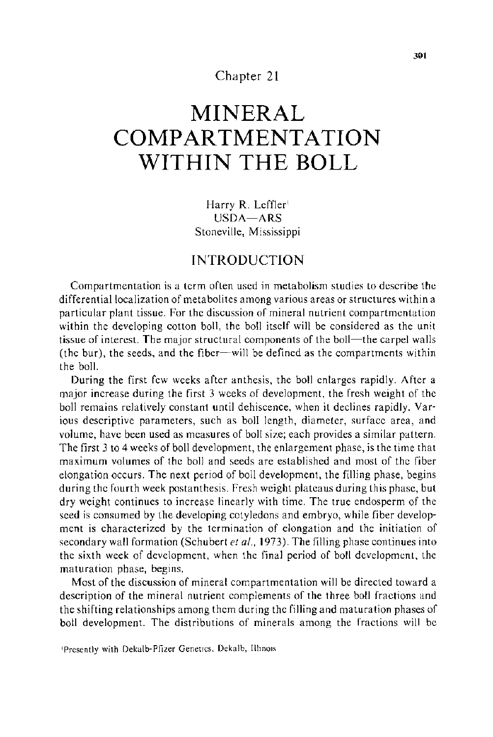## Chapter 21

# **MINERAL COMPARTMENTATION WITHIN THE BOLL**

Harry **R.** Leffler' USDA-ARS Stoneville, Mississippi

# **INTRODUCTION**

Compartmentation is a term often used in metabolism studies to describe the differential localization of metabolites among various areas or structures within a particular plant tissue. For the discussion of mineral nutrient compartmentation within the developing cotton boll, the boll itself will be considered as the unit tissue of interest. The major structural components of the boll—the carpel walls (the bur), the seeds, and the fiber-will be defined as the compartments within the boll.

During the first few weeks after anthesis, the boll enlarges rapidly. After a major increase during the first 3 weeks of development, the fresh weight of the boll remains relatively constant until dehiscence, when it declines rapidly. Various descriptive parameters, such as boll length, diameter, surface area, and volume, have been used as measures of boll size; each provides a similar pattern. The first 3 to 4 weeks of boll development, the enlargement phase, is the time that maximum volumes of the boll and seeds are established and most of the fiber elongation occurs. The next period of boll development, the filling phase, begins during the fourth week postanthesis. Fresh weight plateaus during this phase, but dry weight continues to increase linearly with time. The true endosperm of the seed is consumed by the developing cotyledons and embryo, while fiber development is characterized by the termination of elongation and the initiation of secondary wall formation (Schubert *eta!.,* 1973). The filling phase continues into the sixth week of development, when the final period of boll development, the maturation phase, begins.

Most of the discussion of mineral compartmentation will be directed toward a description of the mineral nutrient complements of the three boll fractions and the shifting relationships among them during the filling and maturation phases of boll development. The distributions of minerals among the fractions will be

Presently with Dekalb-Pfizer Genetics. Dekalb, Illinois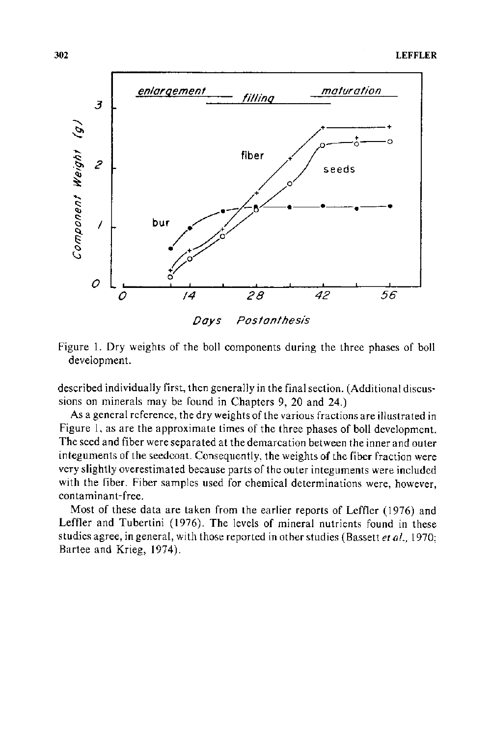



described individually first, then generally in the final section. (Additional discussions on minerals may be found in Chapters 9, 20 and 24.)

As a general reference, the dry weights of the various fractions are illustrated in Figure 1, as are the approximate times of the three phases of boll development. The seed and fiber were separated at the demarcation between the inner and outer integuments of the seedcoat. Consequently, the weights of the fiber fraction were very slightly overestimated because parts of the outer integuments were included with the fiber. Fiber samples used for chemical determinations were, however, contaminant-free.

Most of these data are taken from the earlier reports of Leffler (1976) and Leffler and Tubertini (1976). The levels of mineral nutrients found in these studies agree, in general, with those reported in other studies (Bassett *et* at., 1970; Bartee and Krieg, 1974).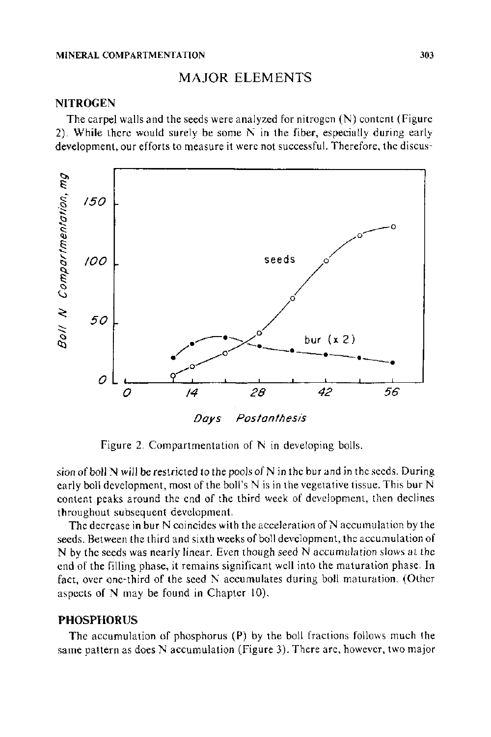#### MINERAL COMPARTMENTATION 303

## MAJOR ELEMENTS

#### **NITROGEN**

The carpel walls and the seeds were analyzed for nitrogen (N) content (Figure 2). While there would surely be some  $N$  in the fiber, especially during early development, our efforts to measure it were not successful. Therefore, the discus-



Figure 2. Compartmentation of N in developing bolls.

sion of boll N will be restricted to the pools of N in the bur and in the seeds. During early boll development, most of the boll's  $N$  is in the vegetative tissue. This bur  $N$ content peaks around the end of the third week of development, then declines throughout subsequent development.

The decrease in bur  $N$  coincides with the acceleration of  $N$  accumulation by the seeds. Between the third and sixth weeks of boll development, the accumulation of N by the seeds was nearly linear. Even though seed N accumulation slows at the end of the filling phase, it remains significant well into the maturation phase. In fact, over one-third of the seed N accumulates during boll maturation. (Other aspects of N may be found in Chapter 10).

### **PHOSPHORUS**

The accumulation of phosphorus (P) by the boll fractions follows much the same pattern as does N accumulation (Figure 3). There are, however, two major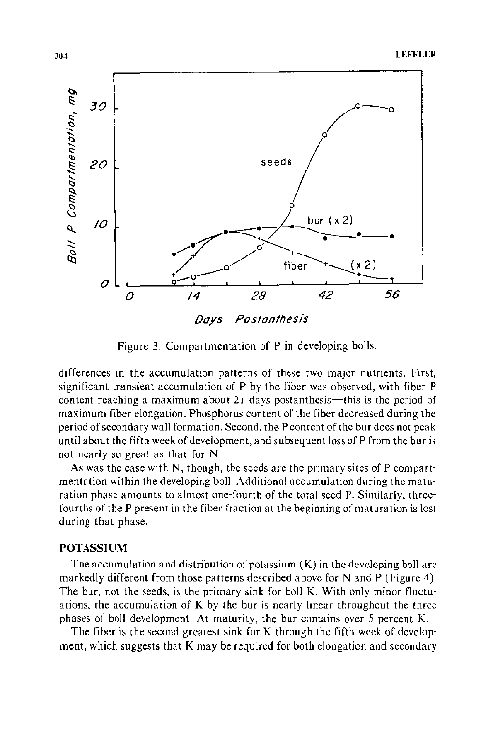

Figure 3. Compartmentation of P in developing bolls.

differences in the accumulation patterns of these two major nutrients. First, significant transient accumulation of P by the fiber was observed, with fiber P content reaching a maximum about 21 days postanthesis—this is the period of maximum fiber elongation. Phosphorus content of the fiber decreased during the period of secondary wall formation. Second, the P content of the bur does not peak until about the fifth week of development, and subsequent loss of P from the bur is not nearly so great as that for N.

As was the case with N, though, the seeds are the primary sites of P compartmentation within the developing boll. Additional accumulation during the maturation phase amounts to almost one-fourth of the total seed P. Similarly, threefourths of the P present in the fiber fraction at the beginning of maturation is lost during that phase.

## **POTASSIUM**

The accumulation and distribution of potassium  $(K)$  in the developing boll are markedly different from those patterns described above for N and P (Figure 4). The bur, not the seeds, is the primary sink for boll K. With only minor fluctuations, the accumulation of K by the bur is nearly linear throughout the three phases of boll development. At maturity, the bur contains over 5 percent K.

The fiber is the second greatest sink for K through the fifth week of development, which suggests that K may be required for both elongation and secondary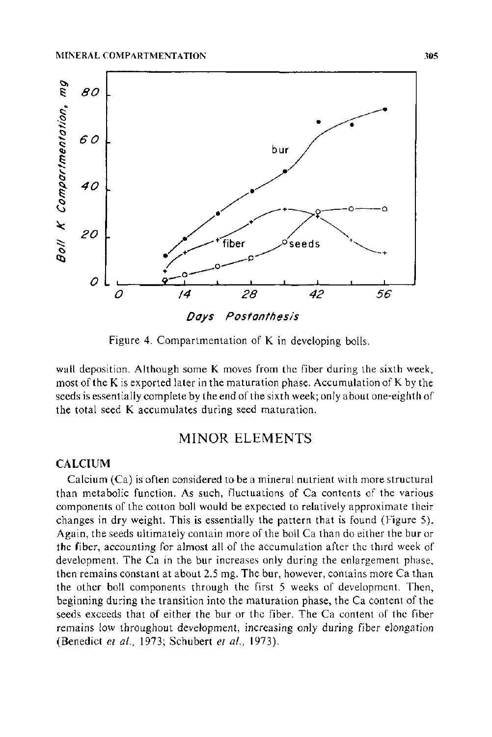

Figure 4. Compartmentation of K in developing bolls.

wall deposition. Although some K moves from the fiber during the sixth week, most of the K is exported later in the maturation phase. Accumulation of K by the seeds is essentially complete by the end of the sixth week; only a bout one-eighth of the total seed K accumulates during seed maturation.

# MINOR ELEMENTS

### CALCIUM

Calcium (Ca) is often considered to be a mineral nutrient with more structural than metabolic function. As such, fluctuations of Ca contents of the various components of the cotton boll would be expected to relatively approximate their changes in dry weight. This is essentially the pattern that is found (Figure 5). Again, the seeds ultimately contain more of the boll Ca than do either the bur or the fiber, accounting for almost all of the accumulation after the third week of development. The Ca in the bur increases only during the enlargement phase, then remains constant at about 2.5 mg. The bur, however, contains more Ca than the other boll components through the first 5 weeks of development. Then, beginning during the transition into the maturation phase, theCa content of the seeds exceeds that of either the bur or the fiber. The Ca content of the fiber remains low throughout development, increasing only during fiber elongation (Benedict *et al.,* 1973; Schubert *eta!.,* 1973).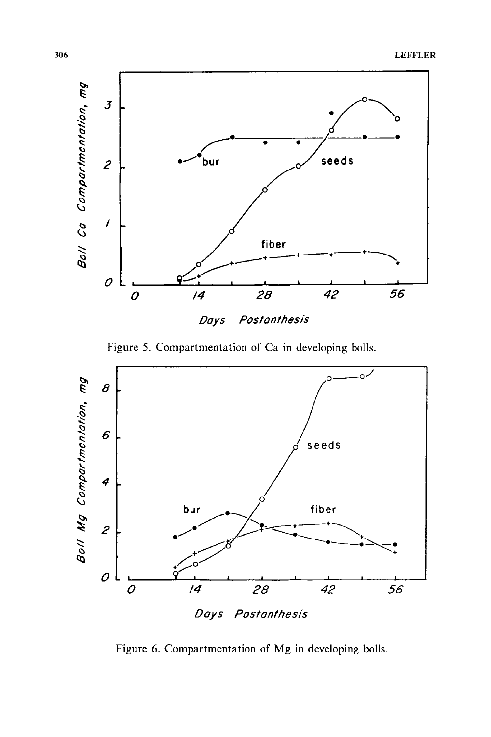

Figure 5. Compartmentation of Ca in developing bolls.



Figure 6. Compartmentation of Mg in developing bolls.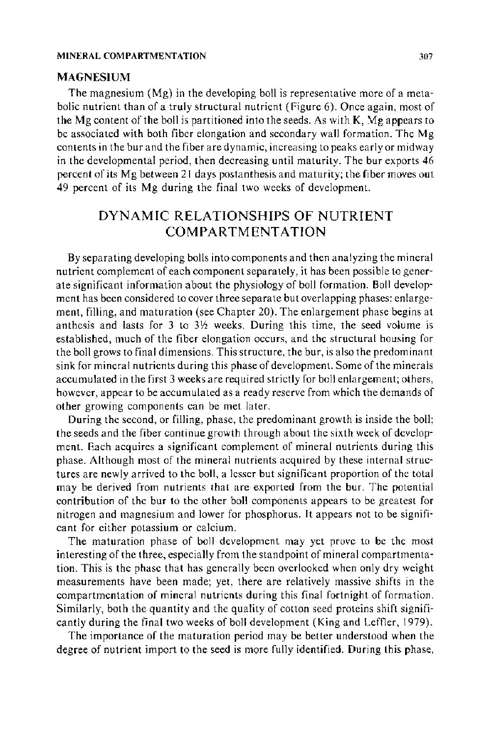#### MINERAL COMPARTMENTATION 307

#### MAGNESIUM

The magnesium (Mg) in the developing boll is representative more of a metabolic nutrient than of a truly structural nutrient (Figure 6). Once again, most of the Mg content of the boll is partitioned into the seeds. As with K, Mg appears to be associated with both fiber elongation and secondary wall formation. The Mg contents in the bur and the fiber are dynamic, increasing to peaks early or midway in the developmental period, then decreasing until maturity. The bur exports 46 percent of its Mg between 21 days postanthesis and maturity; the fiber moves out 49 percent of its Mg during the final two weeks of development.

# DYNAMIC RELATIONSHIPS OF NUTRIENT COMPARTMENTATION

By separating developing bolls into components and then analyzing the mineral nutrient complement of each component separately, it has been possible to generate significant information about the physiology of boll formation. Boll development has been considered to cover three separate but overlapping phases: enlargement, filling, and maturation (see Chapter 20). The enlargement phase begins at anthesis and lasts for  $3$  to  $3\frac{1}{2}$  weeks. During this time, the seed volume is established, much of the fiber elongation occurs, and the structural housing for the boll grows to final dimensions. This structure, the bur, is also the predominant sink for mineral nutrients during this phase of development. Some of the minerals accumulated in the first 3 weeks are required strictly for boll enlargement; others, however, appear to be accumulated as a ready reserve from which the demands of other growing components can be met later.

During the second, or filling, phase, the predominant growth is inside the boll; the seeds and the fiber continue growth through about the sixth week of development. Each acquires a significant complement of mineral nutrients during this phase. Although most of the mineral nutrients acquired by these internal structures are newly arrived to the boll, a lesser but significant proportion of the total may be derived from nutrients that are exported from the bur. The potential contribution of the bur to the other boll components appears to be greatest for nitrogen and magnesium and lower for phosphorus. It appears not to be significant for either potassium or calcium.

The maturation phase of boll development may yet prove to be the most interesting of the three, especially from the standpoint of mineral compartmentation. This is the phase that has generally been overlooked when only dry weight measurements have been made; yet, there are relatively massive shifts in the compartmentation of mineral nutrients during this final fortnight of formation. Similarly, both the quantity and the quality of cotton seed proteins shift significantly during the final two weeks of boll development (King and Leffler, 1979).

The importance of the maturation period may be better understood when the degree of nutrient import to the seed is more fully identified. During this phase,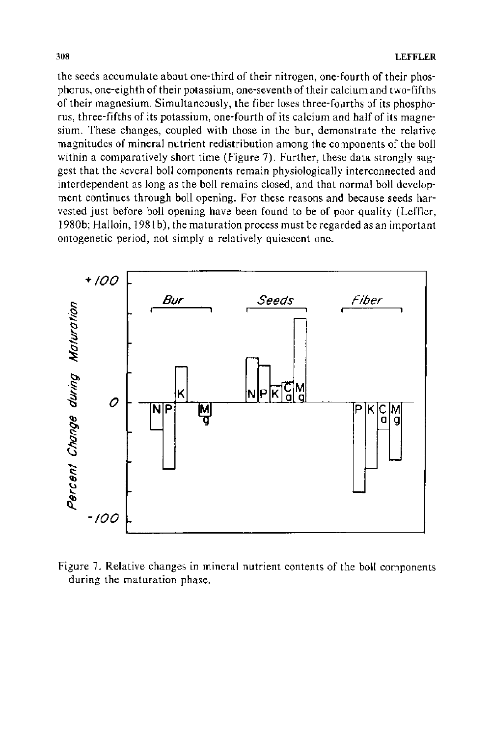the seeds accumulate about one-third of their nitrogen, one-fourth of their phosphorus, one-eighth of their potassium, one-seventh of their calcium and two-fifths of their magnesium. Simultaneously, the fiber loses three-fourths of its phosphorus, three-fifths of its potassium, one-fourth of its calcium and half of its magnesium. These changes, coupled with those in the bur, demonstrate the relative magnitudes of mineral nutrient redistribution among the components of the boll within a comparatively short time (Figure 7). Further, these data strongly suggest that the several boll components remain physiologically interconnected and interdependent as long as the boll remains closed, and that normal boll development continues through boll opening. For these reasons and because seeds harvested just before boll opening have been found to be of poor quality (Leffler, 1980b; Halloin, 1981 b), the maturation process must be regarded as an important ontogenetic period, not simply a relatively quiescent one.



Figure 7. Relative changes in mineral nutrient contents of the boll components during the maturation phase.